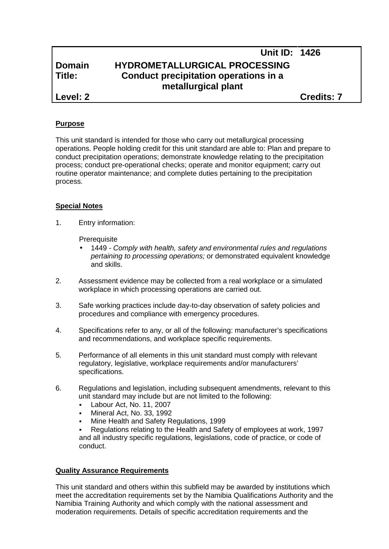|          | Unit ID: 1426                         |                   |
|----------|---------------------------------------|-------------------|
| Domain   | <b>HYDROMETALLURGICAL PROCESSING</b>  |                   |
| Title:   | Conduct precipitation operations in a |                   |
|          | metallurgical plant                   |                   |
| Level: 2 |                                       | <b>Credits: 7</b> |

#### **Purpose**

This unit standard is intended for those who carry out metallurgical processing operations. People holding credit for this unit standard are able to: Plan and prepare to conduct precipitation operations; demonstrate knowledge relating to the precipitation process; conduct pre-operational checks; operate and monitor equipment; carry out routine operator maintenance; and complete duties pertaining to the precipitation process.

#### **Special Notes**

1. Entry information:

**Prerequisite** 

- 1449 *- Comply with health, safety and environmental rules and regulations pertaining to processing operations;* or demonstrated equivalent knowledge and skills.
- 2. Assessment evidence may be collected from a real workplace or a simulated workplace in which processing operations are carried out.
- 3. Safe working practices include day-to-day observation of safety policies and procedures and compliance with emergency procedures.
- 4. Specifications refer to any, or all of the following: manufacturer's specifications and recommendations, and workplace specific requirements.
- 5. Performance of all elements in this unit standard must comply with relevant regulatory, legislative, workplace requirements and/or manufacturers' specifications.
- 6. Regulations and legislation, including subsequent amendments, relevant to this unit standard may include but are not limited to the following:
	- Labour Act, No. 11, 2007
	- Mineral Act, No. 33, 1992
	- Mine Health and Safety Regulations, 1999

 Regulations relating to the Health and Safety of employees at work, 1997 and all industry specific regulations, legislations, code of practice, or code of conduct.

## **Quality Assurance Requirements**

This unit standard and others within this subfield may be awarded by institutions which meet the accreditation requirements set by the Namibia Qualifications Authority and the Namibia Training Authority and which comply with the national assessment and moderation requirements. Details of specific accreditation requirements and the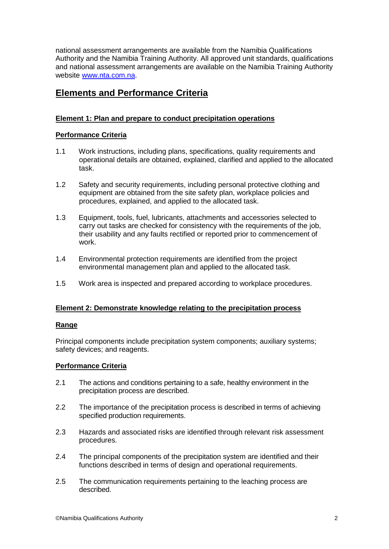national assessment arrangements are available from the Namibia Qualifications Authority and the Namibia Training Authority. All approved unit standards, qualifications and national assessment arrangements are available on the Namibia Training Authority website www.nta.com.na.

# **Elements and Performance Criteria**

## **Element 1: Plan and prepare to conduct precipitation operations**

## **Performance Criteria**

- 1.1 Work instructions, including plans, specifications, quality requirements and operational details are obtained, explained, clarified and applied to the allocated task.
- 1.2 Safety and security requirements, including personal protective clothing and equipment are obtained from the site safety plan, workplace policies and procedures, explained, and applied to the allocated task.
- 1.3 Equipment, tools, fuel, lubricants, attachments and accessories selected to carry out tasks are checked for consistency with the requirements of the job, their usability and any faults rectified or reported prior to commencement of work.
- 1.4 Environmental protection requirements are identified from the project environmental management plan and applied to the allocated task.
- 1.5 Work area is inspected and prepared according to workplace procedures.

## **Element 2: Demonstrate knowledge relating to the precipitation process**

## **Range**

Principal components include precipitation system components; auxiliary systems; safety devices; and reagents.

## **Performance Criteria**

- 2.1 The actions and conditions pertaining to a safe, healthy environment in the precipitation process are described.
- 2.2 The importance of the precipitation process is described in terms of achieving specified production requirements.
- 2.3 Hazards and associated risks are identified through relevant risk assessment procedures.
- 2.4 The principal components of the precipitation system are identified and their functions described in terms of design and operational requirements.
- 2.5 The communication requirements pertaining to the leaching process are described.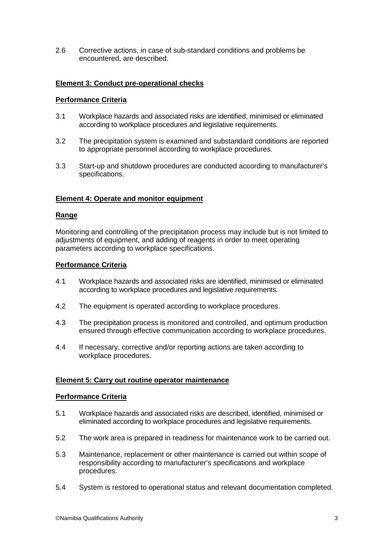2.6 Corrective actions, in case of sub-standard conditions and problems be encountered, are described.

## **Element 3: Conduct pre-operational checks**

#### **Performance Criteria**

- 3.1 Workplace hazards and associated risks are identified, minimised or eliminated according to workplace procedures and legislative requirements.
- 3.2 The precipitation system is examined and substandard conditions are reported to appropriate personnel according to workplace procedures.
- 3.3 Start-up and shutdown procedures are conducted according to manufacturer's specifications.

#### **Element 4: Operate and monitor equipment**

#### **Range**

Monitoring and controlling of the precipitation process may include but is not limited to adjustments of equipment, and adding of reagents in order to meet operating parameters according to workplace specifications.

#### **Performance Criteria**

- 4.1 Workplace hazards and associated risks are identified, minimised or eliminated according to workplace procedures and legislative requirements.
- 4.2 The equipment is operated according to workplace procedures.
- 4.3 The precipitation process is monitored and controlled, and optimum production ensured through effective communication according to workplace procedures.
- 4.4 If necessary, corrective and/or reporting actions are taken according to workplace procedures.

#### **Element 5: Carry out routine operator maintenance**

#### **Performance Criteria**

- 5.1 Workplace hazards and associated risks are described, identified, minimised or eliminated according to workplace procedures and legislative requirements.
- 5.2 The work area is prepared in readiness for maintenance work to be carried out.
- 5.3 Maintenance, replacement or other maintenance is carried out within scope of responsibility according to manufacturer's specifications and workplace procedures.
- 5.4 System is restored to operational status and relevant documentation completed.